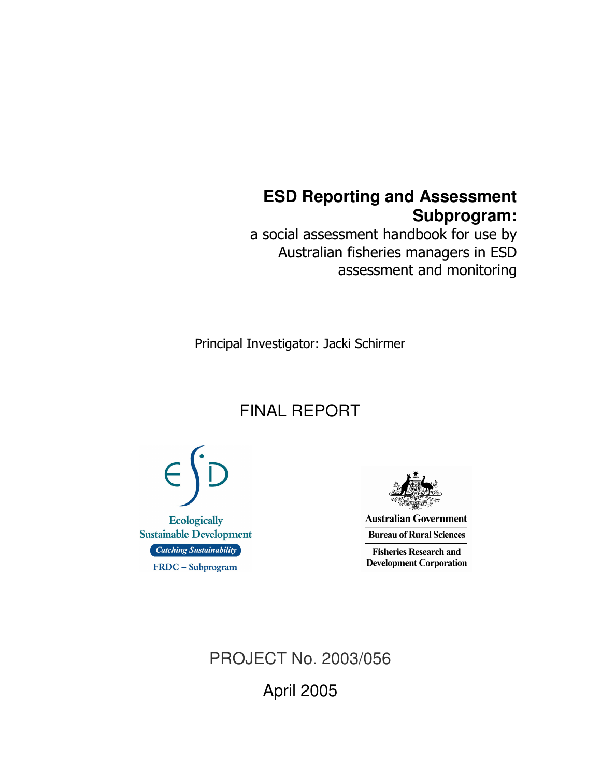# **ESD Reporting and Assessment Subprogram:**

a social assessment handbook for use by Australian fisheries managers in ESD assessment and monitoring

Principal Investigator: Jacki Schirmer

# FINAL REPORT



**Australian Government Bureau of Rural Sciences** 

**Fisheries Research and Development Corporation** 

PROJECT No. 2003/056 April 2005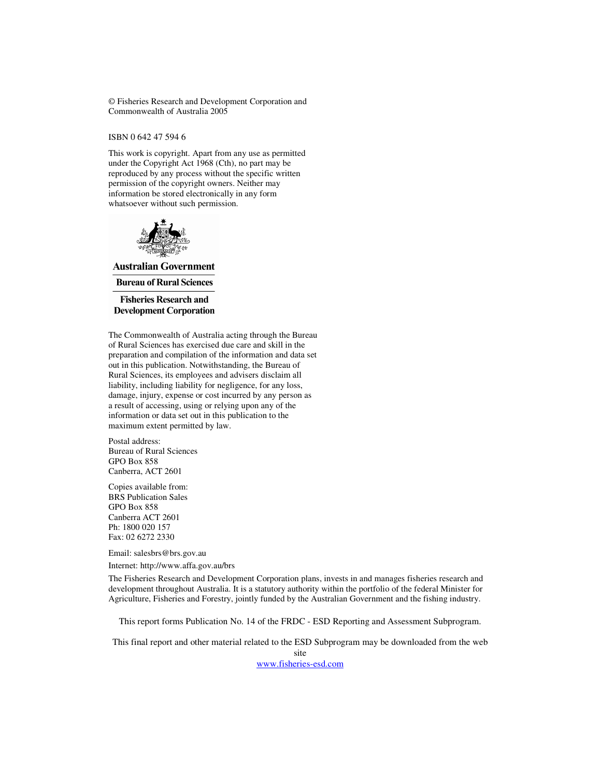© Fisheries Research and Development Corporation and Commonwealth of Australia 2005

ISBN 0 642 47 594 6

This work is copyright. Apart from any use as permitted under the Copyright Act 1968 (Cth), no part may be reproduced by any process without the specific written permission of the copyright owners. Neither may information be stored electronically in any form whatsoever without such permission.



**Australian Government Bureau of Rural Sciences** 

**Fisheries Research and Development Corporation** 

The Commonwealth of Australia acting through the Bureau of Rural Sciences has exercised due care and skill in the preparation and compilation of the information and data set out in this publication. Notwithstanding, the Bureau of Rural Sciences, its employees and advisers disclaim all liability, including liability for negligence, for any loss, damage, injury, expense or cost incurred by any person as a result of accessing, using or relying upon any of the information or data set out in this publication to the maximum extent permitted by law.

Postal address: Bureau of Rural Sciences GPO Box 858 Canberra, ACT 2601

Copies available from: BRS Publication Sales GPO Box 858 Canberra ACT 2601 Ph: 1800 020 157 Fax: 02 6272 2330

Email: salesbrs@brs.gov.au

Internet: http://www.affa.gov.au/brs

The Fisheries Research and Development Corporation plans, invests in and manages fisheries research and development throughout Australia. It is a statutory authority within the portfolio of the federal Minister for Agriculture, Fisheries and Forestry, jointly funded by the Australian Government and the fishing industry.

This report forms Publication No. 14 of the FRDC - ESD Reporting and Assessment Subprogram.

This final report and other material related to the ESD Subprogram may be downloaded from the web

site

www.fisheries-esd.com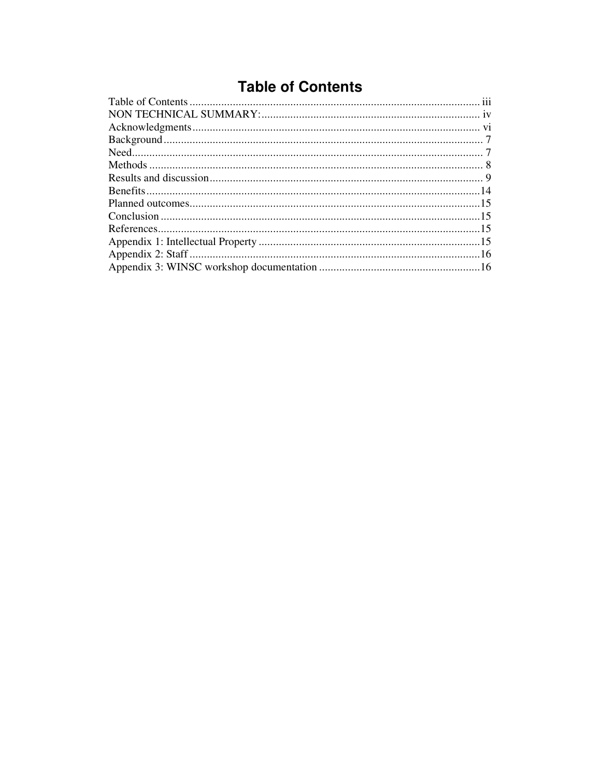# **Table of Contents**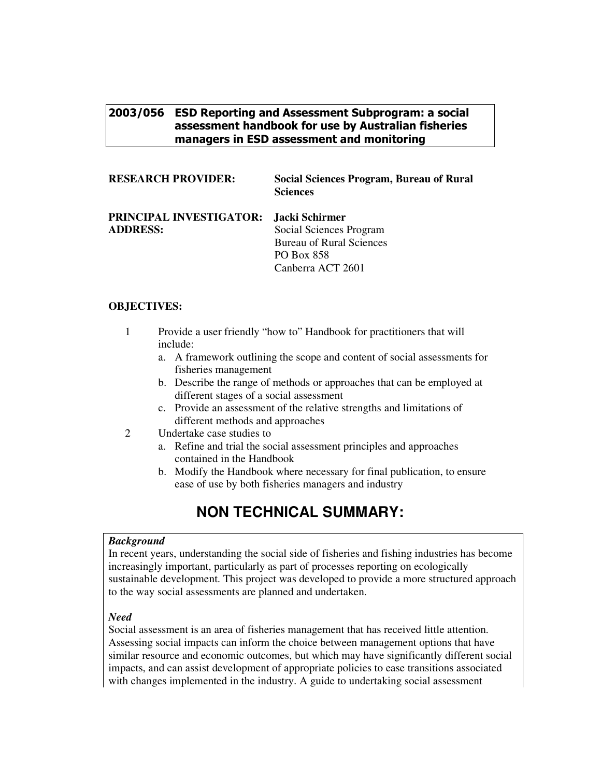### 2003/056 ESD Reporting and Assessment Subprogram: a social assessment handbook for use by Australian fisheries managers in ESD assessment and monitoring

| <b>RESEARCH PROVIDER:</b>                                 | <b>Social Sciences Program, Bureau of Rural</b><br><b>Sciences</b>                                   |
|-----------------------------------------------------------|------------------------------------------------------------------------------------------------------|
| PRINCIPAL INVESTIGATOR: Jacki Schirmer<br><b>ADDRESS:</b> | Social Sciences Program<br><b>Bureau of Rural Sciences</b><br><b>PO Box 858</b><br>Canberra ACT 2601 |

#### **OBJECTIVES:**

1 Provide a user friendly "how to" Handbook for practitioners that will include:

- a. A framework outlining the scope and content of social assessments for fisheries management
- b. Describe the range of methods or approaches that can be employed at different stages of a social assessment
- c. Provide an assessment of the relative strengths and limitations of different methods and approaches
- 2 Undertake case studies to
	- a. Refine and trial the social assessment principles and approaches contained in the Handbook
	- b. Modify the Handbook where necessary for final publication, to ensure ease of use by both fisheries managers and industry

# **NON TECHNICAL SUMMARY:**

#### *Background*

In recent years, understanding the social side of fisheries and fishing industries has become increasingly important, particularly as part of processes reporting on ecologically sustainable development. This project was developed to provide a more structured approach to the way social assessments are planned and undertaken.

#### *Need*

Social assessment is an area of fisheries management that has received little attention. Assessing social impacts can inform the choice between management options that have similar resource and economic outcomes, but which may have significantly different social impacts, and can assist development of appropriate policies to ease transitions associated with changes implemented in the industry. A guide to undertaking social assessment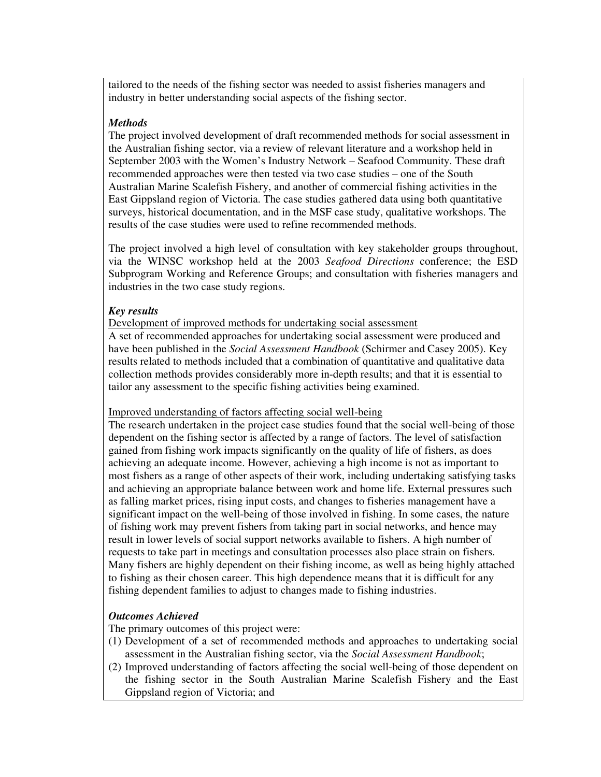tailored to the needs of the fishing sector was needed to assist fisheries managers and industry in better understanding social aspects of the fishing sector.

#### *Methods*

The project involved development of draft recommended methods for social assessment in the Australian fishing sector, via a review of relevant literature and a workshop held in September 2003 with the Women's Industry Network – Seafood Community. These draft recommended approaches were then tested via two case studies – one of the South Australian Marine Scalefish Fishery, and another of commercial fishing activities in the East Gippsland region of Victoria. The case studies gathered data using both quantitative surveys, historical documentation, and in the MSF case study, qualitative workshops. The results of the case studies were used to refine recommended methods.

The project involved a high level of consultation with key stakeholder groups throughout, via the WINSC workshop held at the 2003 *Seafood Directions* conference; the ESD Subprogram Working and Reference Groups; and consultation with fisheries managers and industries in the two case study regions.

#### *Key results*

Development of improved methods for undertaking social assessment

A set of recommended approaches for undertaking social assessment were produced and have been published in the *Social Assessment Handbook* (Schirmer and Casey 2005). Key results related to methods included that a combination of quantitative and qualitative data collection methods provides considerably more in-depth results; and that it is essential to tailor any assessment to the specific fishing activities being examined.

#### Improved understanding of factors affecting social well-being

The research undertaken in the project case studies found that the social well-being of those dependent on the fishing sector is affected by a range of factors. The level of satisfaction gained from fishing work impacts significantly on the quality of life of fishers, as does achieving an adequate income. However, achieving a high income is not as important to most fishers as a range of other aspects of their work, including undertaking satisfying tasks and achieving an appropriate balance between work and home life. External pressures such as falling market prices, rising input costs, and changes to fisheries management have a significant impact on the well-being of those involved in fishing. In some cases, the nature of fishing work may prevent fishers from taking part in social networks, and hence may result in lower levels of social support networks available to fishers. A high number of requests to take part in meetings and consultation processes also place strain on fishers. Many fishers are highly dependent on their fishing income, as well as being highly attached to fishing as their chosen career. This high dependence means that it is difficult for any fishing dependent families to adjust to changes made to fishing industries.

#### *Outcomes Achieved*

The primary outcomes of this project were:

- (1) Development of a set of recommended methods and approaches to undertaking social assessment in the Australian fishing sector, via the *Social Assessment Handbook*;
- (2) Improved understanding of factors affecting the social well-being of those dependent on the fishing sector in the South Australian Marine Scalefish Fishery and the East Gippsland region of Victoria; and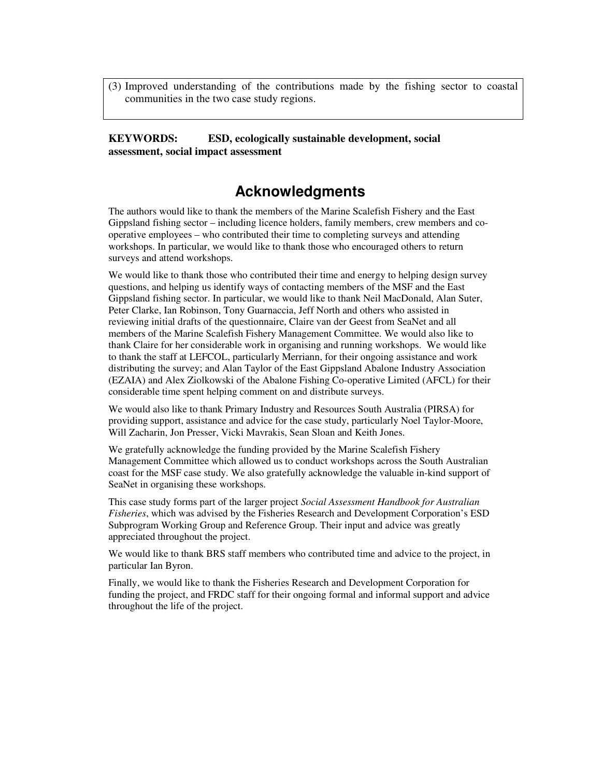(3) Improved understanding of the contributions made by the fishing sector to coastal communities in the two case study regions.

**KEYWORDS: ESD, ecologically sustainable development, social assessment, social impact assessment**

## **Acknowledgments**

The authors would like to thank the members of the Marine Scalefish Fishery and the East Gippsland fishing sector – including licence holders, family members, crew members and cooperative employees – who contributed their time to completing surveys and attending workshops. In particular, we would like to thank those who encouraged others to return surveys and attend workshops.

We would like to thank those who contributed their time and energy to helping design survey questions, and helping us identify ways of contacting members of the MSF and the East Gippsland fishing sector. In particular, we would like to thank Neil MacDonald, Alan Suter, Peter Clarke, Ian Robinson, Tony Guarnaccia, Jeff North and others who assisted in reviewing initial drafts of the questionnaire, Claire van der Geest from SeaNet and all members of the Marine Scalefish Fishery Management Committee. We would also like to thank Claire for her considerable work in organising and running workshops. We would like to thank the staff at LEFCOL, particularly Merriann, for their ongoing assistance and work distributing the survey; and Alan Taylor of the East Gippsland Abalone Industry Association (EZAIA) and Alex Ziolkowski of the Abalone Fishing Co-operative Limited (AFCL) for their considerable time spent helping comment on and distribute surveys.

We would also like to thank Primary Industry and Resources South Australia (PIRSA) for providing support, assistance and advice for the case study, particularly Noel Taylor-Moore, Will Zacharin, Jon Presser, Vicki Mavrakis, Sean Sloan and Keith Jones.

We gratefully acknowledge the funding provided by the Marine Scalefish Fishery Management Committee which allowed us to conduct workshops across the South Australian coast for the MSF case study. We also gratefully acknowledge the valuable in-kind support of SeaNet in organising these workshops.

This case study forms part of the larger project *Social Assessment Handbook for Australian Fisheries*, which was advised by the Fisheries Research and Development Corporation's ESD Subprogram Working Group and Reference Group. Their input and advice was greatly appreciated throughout the project.

We would like to thank BRS staff members who contributed time and advice to the project, in particular Ian Byron.

Finally, we would like to thank the Fisheries Research and Development Corporation for funding the project, and FRDC staff for their ongoing formal and informal support and advice throughout the life of the project.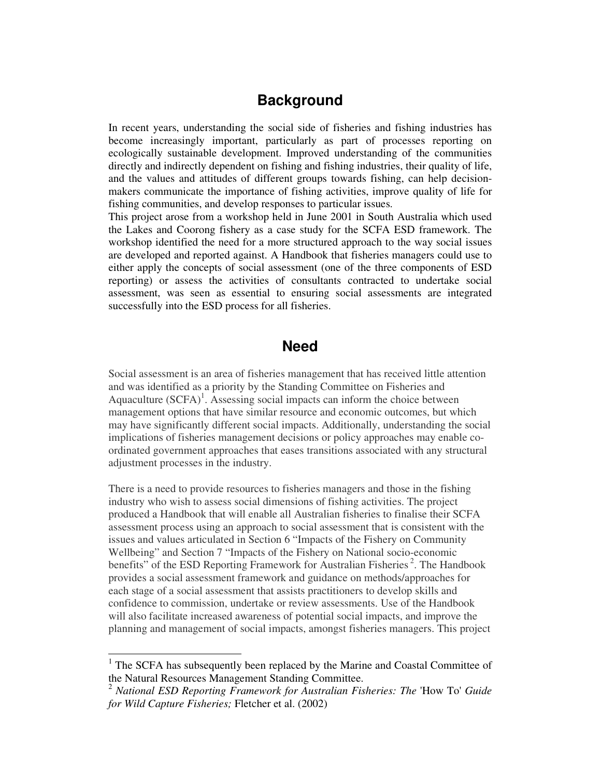# **Background**

In recent years, understanding the social side of fisheries and fishing industries has become increasingly important, particularly as part of processes reporting on ecologically sustainable development. Improved understanding of the communities directly and indirectly dependent on fishing and fishing industries, their quality of life, and the values and attitudes of different groups towards fishing, can help decisionmakers communicate the importance of fishing activities, improve quality of life for fishing communities, and develop responses to particular issues.

This project arose from a workshop held in June 2001 in South Australia which used the Lakes and Coorong fishery as a case study for the SCFA ESD framework. The workshop identified the need for a more structured approach to the way social issues are developed and reported against. A Handbook that fisheries managers could use to either apply the concepts of social assessment (one of the three components of ESD reporting) or assess the activities of consultants contracted to undertake social assessment, was seen as essential to ensuring social assessments are integrated successfully into the ESD process for all fisheries.

### **Need**

Social assessment is an area of fisheries management that has received little attention and was identified as a priority by the Standing Committee on Fisheries and Aquaculture (SCFA)<sup>1</sup>. Assessing social impacts can inform the choice between management options that have similar resource and economic outcomes, but which may have significantly different social impacts. Additionally, understanding the social implications of fisheries management decisions or policy approaches may enable coordinated government approaches that eases transitions associated with any structural adjustment processes in the industry.

There is a need to provide resources to fisheries managers and those in the fishing industry who wish to assess social dimensions of fishing activities. The project produced a Handbook that will enable all Australian fisheries to finalise their SCFA assessment process using an approach to social assessment that is consistent with the issues and values articulated in Section 6 "Impacts of the Fishery on Community Wellbeing" and Section 7 "Impacts of the Fishery on National socio-economic benefits" of the ESD Reporting Framework for Australian Fisheries<sup>2</sup>. The Handbook provides a social assessment framework and guidance on methods/approaches for each stage of a social assessment that assists practitioners to develop skills and confidence to commission, undertake or review assessments. Use of the Handbook will also facilitate increased awareness of potential social impacts, and improve the planning and management of social impacts, amongst fisheries managers. This project

 $1$  The SCFA has subsequently been replaced by the Marine and Coastal Committee of the Natural Resources Management Standing Committee.

<sup>2</sup> *National ESD Reporting Framework for Australian Fisheries: The* 'How To' *Guide for Wild Capture Fisheries;* Fletcher et al. (2002)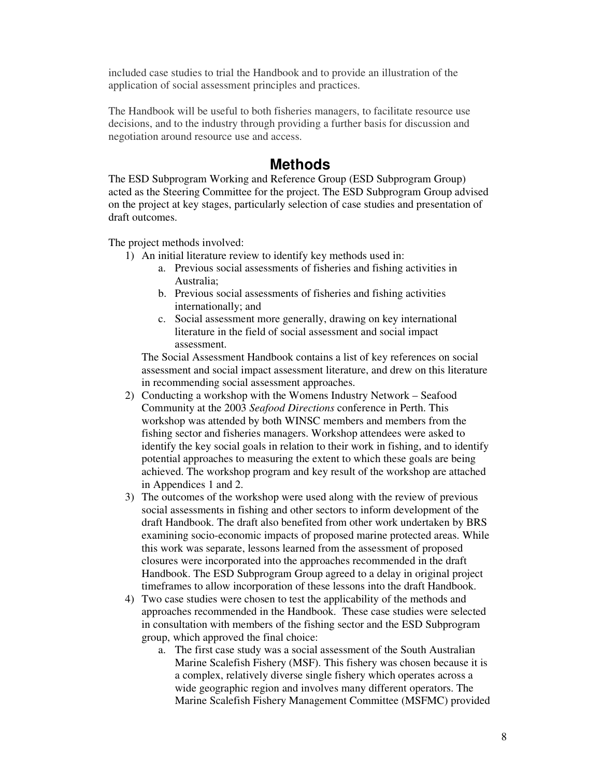included case studies to trial the Handbook and to provide an illustration of the application of social assessment principles and practices.

The Handbook will be useful to both fisheries managers, to facilitate resource use decisions, and to the industry through providing a further basis for discussion and negotiation around resource use and access.

### **Methods**

The ESD Subprogram Working and Reference Group (ESD Subprogram Group) acted as the Steering Committee for the project. The ESD Subprogram Group advised on the project at key stages, particularly selection of case studies and presentation of draft outcomes.

The project methods involved:

- 1) An initial literature review to identify key methods used in:
	- a. Previous social assessments of fisheries and fishing activities in Australia;
	- b. Previous social assessments of fisheries and fishing activities internationally; and
	- c. Social assessment more generally, drawing on key international literature in the field of social assessment and social impact assessment.

The Social Assessment Handbook contains a list of key references on social assessment and social impact assessment literature, and drew on this literature in recommending social assessment approaches.

- 2) Conducting a workshop with the Womens Industry Network Seafood Community at the 2003 *Seafood Directions* conference in Perth. This workshop was attended by both WINSC members and members from the fishing sector and fisheries managers. Workshop attendees were asked to identify the key social goals in relation to their work in fishing, and to identify potential approaches to measuring the extent to which these goals are being achieved. The workshop program and key result of the workshop are attached in Appendices 1 and 2.
- 3) The outcomes of the workshop were used along with the review of previous social assessments in fishing and other sectors to inform development of the draft Handbook. The draft also benefited from other work undertaken by BRS examining socio-economic impacts of proposed marine protected areas. While this work was separate, lessons learned from the assessment of proposed closures were incorporated into the approaches recommended in the draft Handbook. The ESD Subprogram Group agreed to a delay in original project timeframes to allow incorporation of these lessons into the draft Handbook.
- 4) Two case studies were chosen to test the applicability of the methods and approaches recommended in the Handbook. These case studies were selected in consultation with members of the fishing sector and the ESD Subprogram group, which approved the final choice:
	- a. The first case study was a social assessment of the South Australian Marine Scalefish Fishery (MSF). This fishery was chosen because it is a complex, relatively diverse single fishery which operates across a wide geographic region and involves many different operators. The Marine Scalefish Fishery Management Committee (MSFMC) provided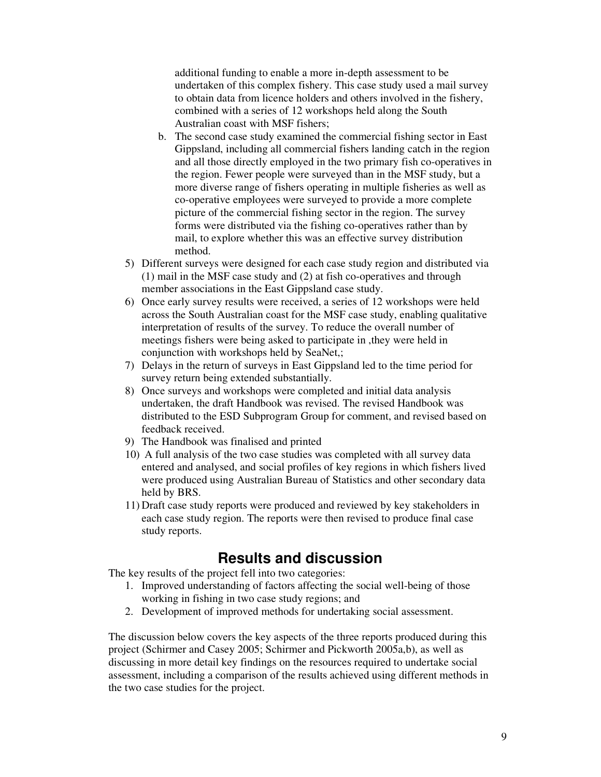additional funding to enable a more in-depth assessment to be undertaken of this complex fishery. This case study used a mail survey to obtain data from licence holders and others involved in the fishery, combined with a series of 12 workshops held along the South Australian coast with MSF fishers;

- b. The second case study examined the commercial fishing sector in East Gippsland, including all commercial fishers landing catch in the region and all those directly employed in the two primary fish co-operatives in the region. Fewer people were surveyed than in the MSF study, but a more diverse range of fishers operating in multiple fisheries as well as co-operative employees were surveyed to provide a more complete picture of the commercial fishing sector in the region. The survey forms were distributed via the fishing co-operatives rather than by mail, to explore whether this was an effective survey distribution method.
- 5) Different surveys were designed for each case study region and distributed via (1) mail in the MSF case study and (2) at fish co-operatives and through member associations in the East Gippsland case study.
- 6) Once early survey results were received, a series of 12 workshops were held across the South Australian coast for the MSF case study, enabling qualitative interpretation of results of the survey. To reduce the overall number of meetings fishers were being asked to participate in ,they were held in conjunction with workshops held by SeaNet,;
- 7) Delays in the return of surveys in East Gippsland led to the time period for survey return being extended substantially.
- 8) Once surveys and workshops were completed and initial data analysis undertaken, the draft Handbook was revised. The revised Handbook was distributed to the ESD Subprogram Group for comment, and revised based on feedback received.
- 9) The Handbook was finalised and printed
- 10) A full analysis of the two case studies was completed with all survey data entered and analysed, and social profiles of key regions in which fishers lived were produced using Australian Bureau of Statistics and other secondary data held by BRS.
- 11) Draft case study reports were produced and reviewed by key stakeholders in each case study region. The reports were then revised to produce final case study reports.

### **Results and discussion**

The key results of the project fell into two categories:

- 1. Improved understanding of factors affecting the social well-being of those working in fishing in two case study regions; and
- 2. Development of improved methods for undertaking social assessment.

The discussion below covers the key aspects of the three reports produced during this project (Schirmer and Casey 2005; Schirmer and Pickworth 2005a,b), as well as discussing in more detail key findings on the resources required to undertake social assessment, including a comparison of the results achieved using different methods in the two case studies for the project.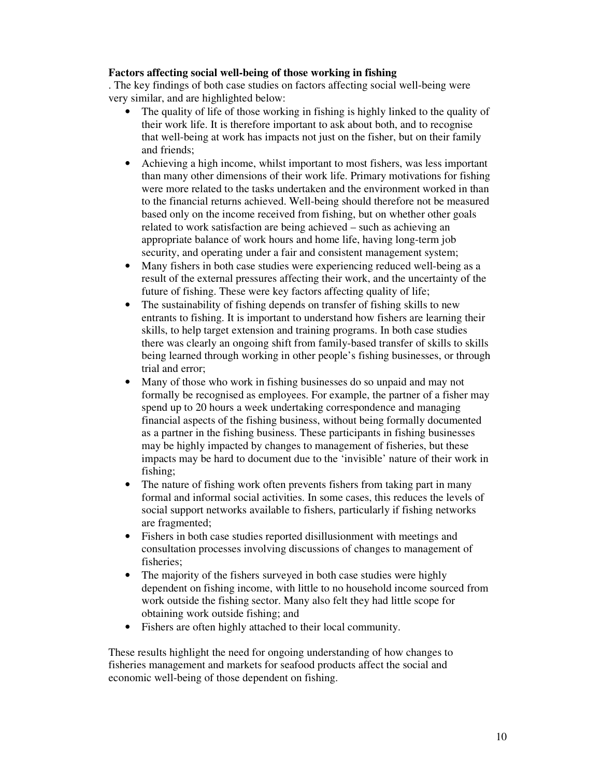#### **Factors affecting social well-being of those working in fishing**

. The key findings of both case studies on factors affecting social well-being were very similar, and are highlighted below:

- The quality of life of those working in fishing is highly linked to the quality of their work life. It is therefore important to ask about both, and to recognise that well-being at work has impacts not just on the fisher, but on their family and friends;
- Achieving a high income, whilst important to most fishers, was less important than many other dimensions of their work life. Primary motivations for fishing were more related to the tasks undertaken and the environment worked in than to the financial returns achieved. Well-being should therefore not be measured based only on the income received from fishing, but on whether other goals related to work satisfaction are being achieved – such as achieving an appropriate balance of work hours and home life, having long-term job security, and operating under a fair and consistent management system;
- Many fishers in both case studies were experiencing reduced well-being as a result of the external pressures affecting their work, and the uncertainty of the future of fishing. These were key factors affecting quality of life;
- The sustainability of fishing depends on transfer of fishing skills to new entrants to fishing. It is important to understand how fishers are learning their skills, to help target extension and training programs. In both case studies there was clearly an ongoing shift from family-based transfer of skills to skills being learned through working in other people's fishing businesses, or through trial and error;
- Many of those who work in fishing businesses do so unpaid and may not formally be recognised as employees. For example, the partner of a fisher may spend up to 20 hours a week undertaking correspondence and managing financial aspects of the fishing business, without being formally documented as a partner in the fishing business. These participants in fishing businesses may be highly impacted by changes to management of fisheries, but these impacts may be hard to document due to the 'invisible' nature of their work in fishing;
- The nature of fishing work often prevents fishers from taking part in many formal and informal social activities. In some cases, this reduces the levels of social support networks available to fishers, particularly if fishing networks are fragmented;
- Fishers in both case studies reported disillusionment with meetings and consultation processes involving discussions of changes to management of fisheries;
- The majority of the fishers surveyed in both case studies were highly dependent on fishing income, with little to no household income sourced from work outside the fishing sector. Many also felt they had little scope for obtaining work outside fishing; and
- Fishers are often highly attached to their local community.

These results highlight the need for ongoing understanding of how changes to fisheries management and markets for seafood products affect the social and economic well-being of those dependent on fishing.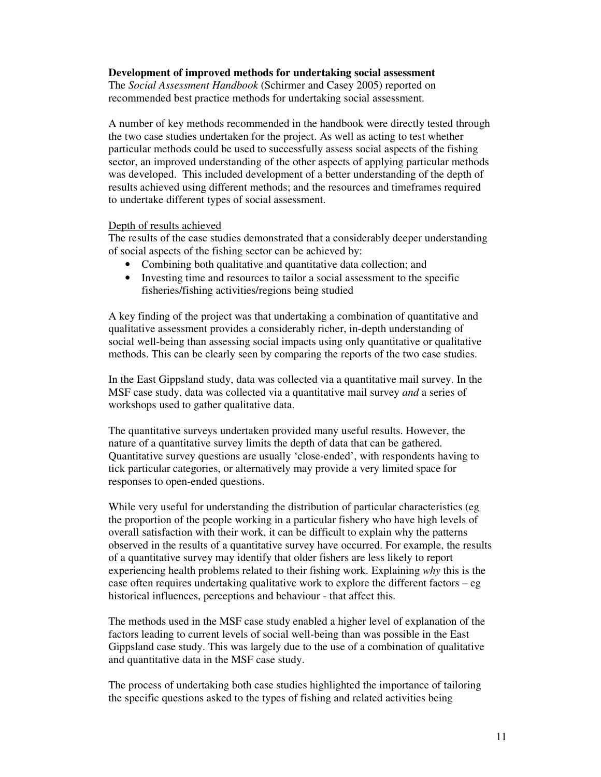#### **Development of improved methods for undertaking social assessment**

The *Social Assessment Handbook* (Schirmer and Casey 2005) reported on recommended best practice methods for undertaking social assessment.

A number of key methods recommended in the handbook were directly tested through the two case studies undertaken for the project. As well as acting to test whether particular methods could be used to successfully assess social aspects of the fishing sector, an improved understanding of the other aspects of applying particular methods was developed. This included development of a better understanding of the depth of results achieved using different methods; and the resources and timeframes required to undertake different types of social assessment.

#### Depth of results achieved

The results of the case studies demonstrated that a considerably deeper understanding of social aspects of the fishing sector can be achieved by:

- Combining both qualitative and quantitative data collection; and
- Investing time and resources to tailor a social assessment to the specific fisheries/fishing activities/regions being studied

A key finding of the project was that undertaking a combination of quantitative and qualitative assessment provides a considerably richer, in-depth understanding of social well-being than assessing social impacts using only quantitative or qualitative methods. This can be clearly seen by comparing the reports of the two case studies.

In the East Gippsland study, data was collected via a quantitative mail survey. In the MSF case study, data was collected via a quantitative mail survey *and* a series of workshops used to gather qualitative data.

The quantitative surveys undertaken provided many useful results. However, the nature of a quantitative survey limits the depth of data that can be gathered. Quantitative survey questions are usually 'close-ended', with respondents having to tick particular categories, or alternatively may provide a very limited space for responses to open-ended questions.

While very useful for understanding the distribution of particular characteristics (eg the proportion of the people working in a particular fishery who have high levels of overall satisfaction with their work, it can be difficult to explain why the patterns observed in the results of a quantitative survey have occurred. For example, the results of a quantitative survey may identify that older fishers are less likely to report experiencing health problems related to their fishing work. Explaining *why* this is the case often requires undertaking qualitative work to explore the different factors  $-\mathbf{eg}$ historical influences, perceptions and behaviour - that affect this.

The methods used in the MSF case study enabled a higher level of explanation of the factors leading to current levels of social well-being than was possible in the East Gippsland case study. This was largely due to the use of a combination of qualitative and quantitative data in the MSF case study.

The process of undertaking both case studies highlighted the importance of tailoring the specific questions asked to the types of fishing and related activities being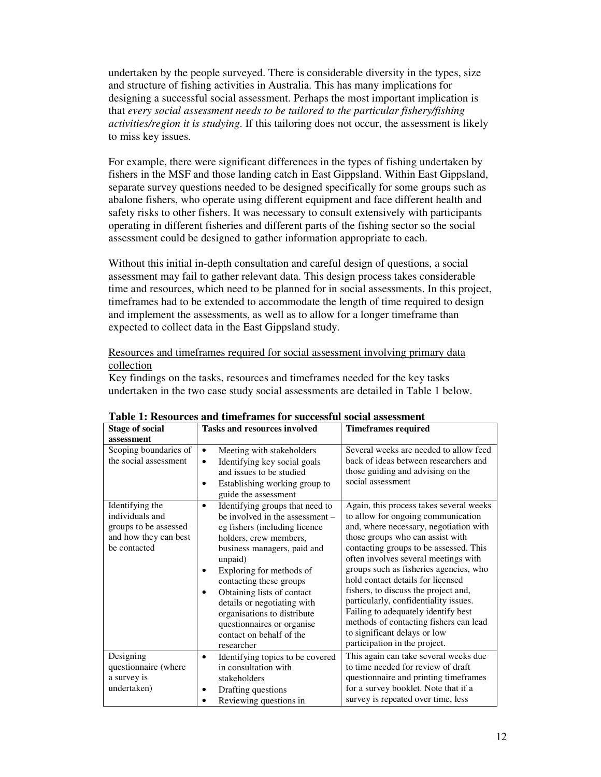undertaken by the people surveyed. There is considerable diversity in the types, size and structure of fishing activities in Australia. This has many implications for designing a successful social assessment. Perhaps the most important implication is that *every social assessment needs to be tailored to the particular fishery/fishing activities/region it is studying*. If this tailoring does not occur, the assessment is likely to miss key issues.

For example, there were significant differences in the types of fishing undertaken by fishers in the MSF and those landing catch in East Gippsland. Within East Gippsland, separate survey questions needed to be designed specifically for some groups such as abalone fishers, who operate using different equipment and face different health and safety risks to other fishers. It was necessary to consult extensively with participants operating in different fisheries and different parts of the fishing sector so the social assessment could be designed to gather information appropriate to each.

Without this initial in-depth consultation and careful design of questions, a social assessment may fail to gather relevant data. This design process takes considerable time and resources, which need to be planned for in social assessments. In this project, timeframes had to be extended to accommodate the length of time required to design and implement the assessments, as well as to allow for a longer timeframe than expected to collect data in the East Gippsland study.

#### Resources and timeframes required for social assessment involving primary data collection

Key findings on the tasks, resources and timeframes needed for the key tasks undertaken in the two case study social assessments are detailed in Table 1 below.

| <b>Stage of social</b>                                                                               | <b>Tasks and resources involved</b>                                                                                                                                                                                                                                                                                                                                                                             | <b>Timeframes required</b>                                                                                                                                                                                                                                                                                                                                                                                                                                                                                                                                      |
|------------------------------------------------------------------------------------------------------|-----------------------------------------------------------------------------------------------------------------------------------------------------------------------------------------------------------------------------------------------------------------------------------------------------------------------------------------------------------------------------------------------------------------|-----------------------------------------------------------------------------------------------------------------------------------------------------------------------------------------------------------------------------------------------------------------------------------------------------------------------------------------------------------------------------------------------------------------------------------------------------------------------------------------------------------------------------------------------------------------|
| assessment                                                                                           |                                                                                                                                                                                                                                                                                                                                                                                                                 |                                                                                                                                                                                                                                                                                                                                                                                                                                                                                                                                                                 |
| Scoping boundaries of<br>the social assessment                                                       | Meeting with stakeholders<br>$\bullet$<br>Identifying key social goals<br>$\bullet$<br>and issues to be studied<br>Establishing working group to<br>guide the assessment                                                                                                                                                                                                                                        | Several weeks are needed to allow feed<br>back of ideas between researchers and<br>those guiding and advising on the<br>social assessment                                                                                                                                                                                                                                                                                                                                                                                                                       |
| Identifying the<br>individuals and<br>groups to be assessed<br>and how they can best<br>be contacted | Identifying groups that need to<br>$\bullet$<br>be involved in the assessment –<br>eg fishers (including licence<br>holders, crew members,<br>business managers, paid and<br>unpaid)<br>Exploring for methods of<br>contacting these groups<br>Obtaining lists of contact<br>details or negotiating with<br>organisations to distribute<br>questionnaires or organise<br>contact on behalf of the<br>researcher | Again, this process takes several weeks<br>to allow for ongoing communication<br>and, where necessary, negotiation with<br>those groups who can assist with<br>contacting groups to be assessed. This<br>often involves several meetings with<br>groups such as fisheries agencies, who<br>hold contact details for licensed<br>fishers, to discuss the project and,<br>particularly, confidentiality issues.<br>Failing to adequately identify best<br>methods of contacting fishers can lead<br>to significant delays or low<br>participation in the project. |
| Designing<br>questionnaire (where<br>a survey is<br>undertaken)                                      | Identifying topics to be covered<br>٠<br>in consultation with<br>stakeholders<br>Drafting questions<br>Reviewing questions in                                                                                                                                                                                                                                                                                   | This again can take several weeks due<br>to time needed for review of draft<br>questionnaire and printing timeframes<br>for a survey booklet. Note that if a<br>survey is repeated over time, less                                                                                                                                                                                                                                                                                                                                                              |

**Table 1: Resources and timeframes for successful social assessment**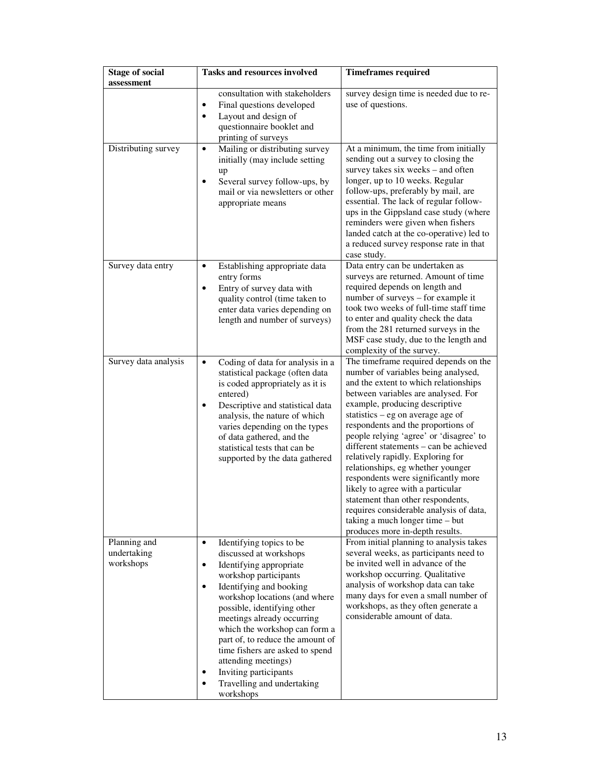| <b>Stage of social</b><br>assessment     | <b>Tasks and resources involved</b>                                                                                                                                                                                                                                                                                                                                                                                                                                       | <b>Timeframes required</b>                                                                                                                                                                                                                                                                                                                                                                                                                                                                                                                                                                                                                                                   |
|------------------------------------------|---------------------------------------------------------------------------------------------------------------------------------------------------------------------------------------------------------------------------------------------------------------------------------------------------------------------------------------------------------------------------------------------------------------------------------------------------------------------------|------------------------------------------------------------------------------------------------------------------------------------------------------------------------------------------------------------------------------------------------------------------------------------------------------------------------------------------------------------------------------------------------------------------------------------------------------------------------------------------------------------------------------------------------------------------------------------------------------------------------------------------------------------------------------|
| Distributing survey                      | consultation with stakeholders<br>Final questions developed<br>$\bullet$<br>Layout and design of<br>$\bullet$<br>questionnaire booklet and<br>printing of surveys<br>Mailing or distributing survey<br>$\bullet$<br>initially (may include setting<br>up<br>Several survey follow-ups, by<br>$\bullet$<br>mail or via newsletters or other<br>appropriate means                                                                                                           | survey design time is needed due to re-<br>use of questions.<br>At a minimum, the time from initially<br>sending out a survey to closing the<br>survey takes six weeks - and often<br>longer, up to 10 weeks. Regular<br>follow-ups, preferably by mail, are<br>essential. The lack of regular follow-                                                                                                                                                                                                                                                                                                                                                                       |
|                                          |                                                                                                                                                                                                                                                                                                                                                                                                                                                                           | ups in the Gippsland case study (where<br>reminders were given when fishers<br>landed catch at the co-operative) led to<br>a reduced survey response rate in that<br>case study.                                                                                                                                                                                                                                                                                                                                                                                                                                                                                             |
| Survey data entry                        | Establishing appropriate data<br>$\bullet$<br>entry forms<br>Entry of survey data with<br>$\bullet$<br>quality control (time taken to<br>enter data varies depending on<br>length and number of surveys)                                                                                                                                                                                                                                                                  | Data entry can be undertaken as<br>surveys are returned. Amount of time<br>required depends on length and<br>number of surveys – for example it<br>took two weeks of full-time staff time<br>to enter and quality check the data<br>from the 281 returned surveys in the<br>MSF case study, due to the length and<br>complexity of the survey.                                                                                                                                                                                                                                                                                                                               |
| Survey data analysis                     | Coding of data for analysis in a<br>$\bullet$<br>statistical package (often data<br>is coded appropriately as it is<br>entered)<br>Descriptive and statistical data<br>$\bullet$<br>analysis, the nature of which<br>varies depending on the types<br>of data gathered, and the<br>statistical tests that can be<br>supported by the data gathered                                                                                                                        | The timeframe required depends on the<br>number of variables being analysed,<br>and the extent to which relationships<br>between variables are analysed. For<br>example, producing descriptive<br>statistics $-$ eg on average age of<br>respondents and the proportions of<br>people relying 'agree' or 'disagree' to<br>different statements - can be achieved<br>relatively rapidly. Exploring for<br>relationships, eg whether younger<br>respondents were significantly more<br>likely to agree with a particular<br>statement than other respondents,<br>requires considerable analysis of data,<br>taking a much longer time - but<br>produces more in-depth results. |
| Planning and<br>undertaking<br>workshops | Identifying topics to be<br>$\bullet$<br>discussed at workshops<br>Identifying appropriate<br>$\bullet$<br>workshop participants<br>Identifying and booking<br>$\bullet$<br>workshop locations (and where<br>possible, identifying other<br>meetings already occurring<br>which the workshop can form a<br>part of, to reduce the amount of<br>time fishers are asked to spend<br>attending meetings)<br>Inviting participants<br>Travelling and undertaking<br>workshops | From initial planning to analysis takes<br>several weeks, as participants need to<br>be invited well in advance of the<br>workshop occurring. Qualitative<br>analysis of workshop data can take<br>many days for even a small number of<br>workshops, as they often generate a<br>considerable amount of data.                                                                                                                                                                                                                                                                                                                                                               |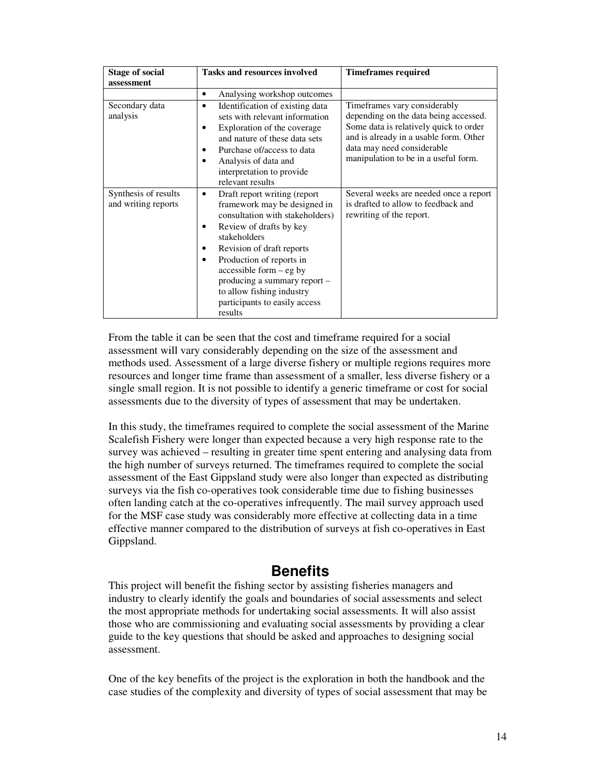| <b>Stage of social</b>                      | <b>Tasks and resources involved</b>                                                                                                                                                                                                                                                                                                                           | <b>Timeframes required</b>                                                                                                                                                                                                      |
|---------------------------------------------|---------------------------------------------------------------------------------------------------------------------------------------------------------------------------------------------------------------------------------------------------------------------------------------------------------------------------------------------------------------|---------------------------------------------------------------------------------------------------------------------------------------------------------------------------------------------------------------------------------|
| assessment                                  |                                                                                                                                                                                                                                                                                                                                                               |                                                                                                                                                                                                                                 |
|                                             | Analysing workshop outcomes<br>٠                                                                                                                                                                                                                                                                                                                              |                                                                                                                                                                                                                                 |
| Secondary data<br>analysis                  | Identification of existing data<br>٠<br>sets with relevant information<br>Exploration of the coverage<br>and nature of these data sets<br>Purchase of/access to data<br>Analysis of data and<br>interpretation to provide<br>relevant results                                                                                                                 | Timeframes vary considerably<br>depending on the data being accessed.<br>Some data is relatively quick to order<br>and is already in a usable form. Other<br>data may need considerable<br>manipulation to be in a useful form. |
| Synthesis of results<br>and writing reports | Draft report writing (report<br>٠<br>framework may be designed in<br>consultation with stakeholders)<br>Review of drafts by key<br>٠<br>stakeholders<br>Revision of draft reports<br>٠<br>Production of reports in<br>٠<br>$accessible form - eg by$<br>producing a summary report -<br>to allow fishing industry<br>participants to easily access<br>results | Several weeks are needed once a report<br>is drafted to allow to feedback and<br>rewriting of the report.                                                                                                                       |

From the table it can be seen that the cost and timeframe required for a social assessment will vary considerably depending on the size of the assessment and methods used. Assessment of a large diverse fishery or multiple regions requires more resources and longer time frame than assessment of a smaller, less diverse fishery or a single small region. It is not possible to identify a generic timeframe or cost for social assessments due to the diversity of types of assessment that may be undertaken.

In this study, the timeframes required to complete the social assessment of the Marine Scalefish Fishery were longer than expected because a very high response rate to the survey was achieved – resulting in greater time spent entering and analysing data from the high number of surveys returned. The timeframes required to complete the social assessment of the East Gippsland study were also longer than expected as distributing surveys via the fish co-operatives took considerable time due to fishing businesses often landing catch at the co-operatives infrequently. The mail survey approach used for the MSF case study was considerably more effective at collecting data in a time effective manner compared to the distribution of surveys at fish co-operatives in East Gippsland.

# **Benefits**

This project will benefit the fishing sector by assisting fisheries managers and industry to clearly identify the goals and boundaries of social assessments and select the most appropriate methods for undertaking social assessments. It will also assist those who are commissioning and evaluating social assessments by providing a clear guide to the key questions that should be asked and approaches to designing social assessment.

One of the key benefits of the project is the exploration in both the handbook and the case studies of the complexity and diversity of types of social assessment that may be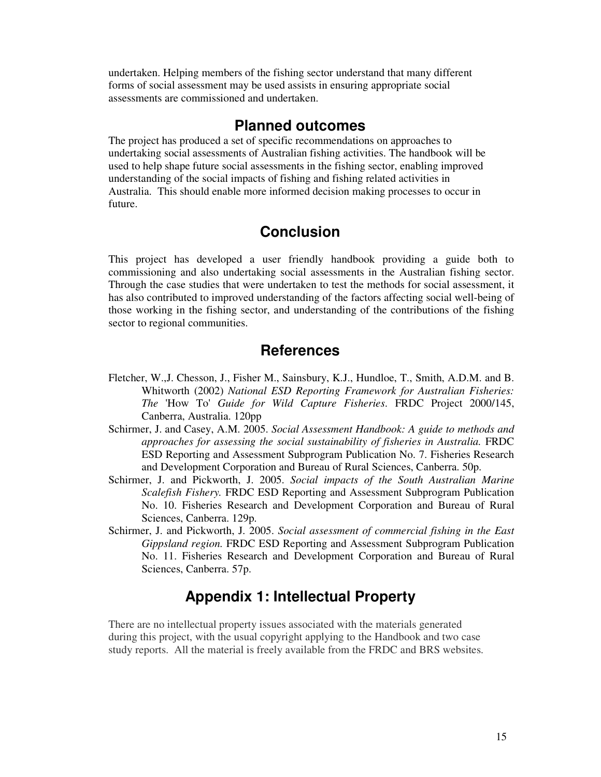undertaken. Helping members of the fishing sector understand that many different forms of social assessment may be used assists in ensuring appropriate social assessments are commissioned and undertaken.

### **Planned outcomes**

The project has produced a set of specific recommendations on approaches to undertaking social assessments of Australian fishing activities. The handbook will be used to help shape future social assessments in the fishing sector, enabling improved understanding of the social impacts of fishing and fishing related activities in Australia. This should enable more informed decision making processes to occur in future.

### **Conclusion**

This project has developed a user friendly handbook providing a guide both to commissioning and also undertaking social assessments in the Australian fishing sector. Through the case studies that were undertaken to test the methods for social assessment, it has also contributed to improved understanding of the factors affecting social well-being of those working in the fishing sector, and understanding of the contributions of the fishing sector to regional communities.

### **References**

- Fletcher, W.,J. Chesson, J., Fisher M., Sainsbury, K.J., Hundloe, T., Smith, A.D.M. and B. Whitworth (2002) *National ESD Reporting Framework for Australian Fisheries: The* 'How To' *Guide for Wild Capture Fisheries*. FRDC Project 2000/145, Canberra, Australia. 120pp
- Schirmer, J. and Casey, A.M. 2005. *Social Assessment Handbook: A guide to methods and approaches for assessing the social sustainability of fisheries in Australia.* FRDC ESD Reporting and Assessment Subprogram Publication No. 7. Fisheries Research and Development Corporation and Bureau of Rural Sciences, Canberra. 50p.
- Schirmer, J. and Pickworth, J. 2005. *Social impacts of the South Australian Marine Scalefish Fishery.* FRDC ESD Reporting and Assessment Subprogram Publication No. 10. Fisheries Research and Development Corporation and Bureau of Rural Sciences, Canberra. 129p.
- Schirmer, J. and Pickworth, J. 2005. *Social assessment of commercial fishing in the East Gippsland region.* FRDC ESD Reporting and Assessment Subprogram Publication No. 11. Fisheries Research and Development Corporation and Bureau of Rural Sciences, Canberra. 57p.

## **Appendix 1: Intellectual Property**

There are no intellectual property issues associated with the materials generated during this project, with the usual copyright applying to the Handbook and two case study reports. All the material is freely available from the FRDC and BRS websites.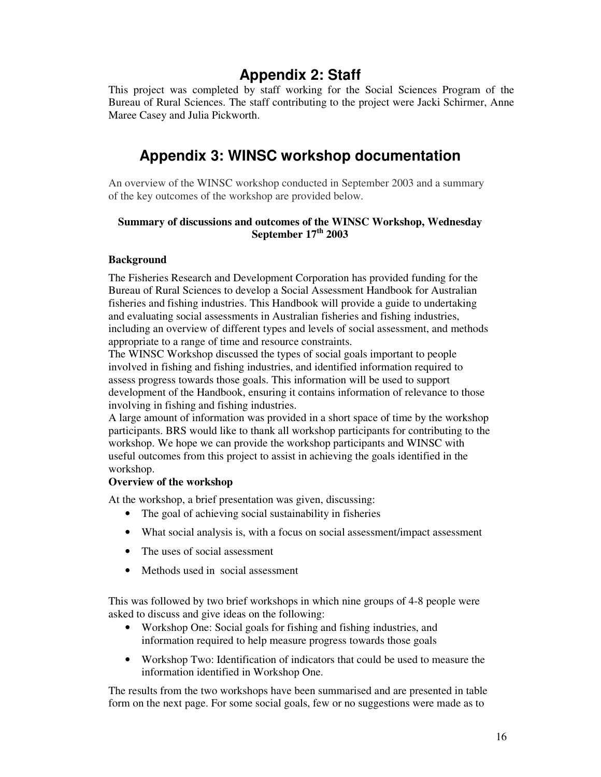# **Appendix 2: Staff**

This project was completed by staff working for the Social Sciences Program of the Bureau of Rural Sciences. The staff contributing to the project were Jacki Schirmer, Anne Maree Casey and Julia Pickworth.

# **Appendix 3: WINSC workshop documentation**

An overview of the WINSC workshop conducted in September 2003 and a summary of the key outcomes of the workshop are provided below.

#### **Summary of discussions and outcomes of the WINSC Workshop, Wednesday September 17 th 2003**

#### **Background**

The Fisheries Research and Development Corporation has provided funding for the Bureau of Rural Sciences to develop a Social Assessment Handbook for Australian fisheries and fishing industries. This Handbook will provide a guide to undertaking and evaluating social assessments in Australian fisheries and fishing industries, including an overview of different types and levels of social assessment, and methods appropriate to a range of time and resource constraints.

The WINSC Workshop discussed the types of social goals important to people involved in fishing and fishing industries, and identified information required to assess progress towards those goals. This information will be used to support development of the Handbook, ensuring it contains information of relevance to those involving in fishing and fishing industries.

A large amount of information was provided in a short space of time by the workshop participants. BRS would like to thank all workshop participants for contributing to the workshop. We hope we can provide the workshop participants and WINSC with useful outcomes from this project to assist in achieving the goals identified in the workshop.

#### **Overview of the workshop**

At the workshop, a brief presentation was given, discussing:

- The goal of achieving social sustainability in fisheries
- What social analysis is, with a focus on social assessment/impact assessment
- The uses of social assessment
- Methods used in social assessment

This was followed by two brief workshops in which nine groups of 4-8 people were asked to discuss and give ideas on the following:

- Workshop One: Social goals for fishing and fishing industries, and information required to help measure progress towards those goals
- Workshop Two: Identification of indicators that could be used to measure the information identified in Workshop One.

The results from the two workshops have been summarised and are presented in table form on the next page. For some social goals, few or no suggestions were made as to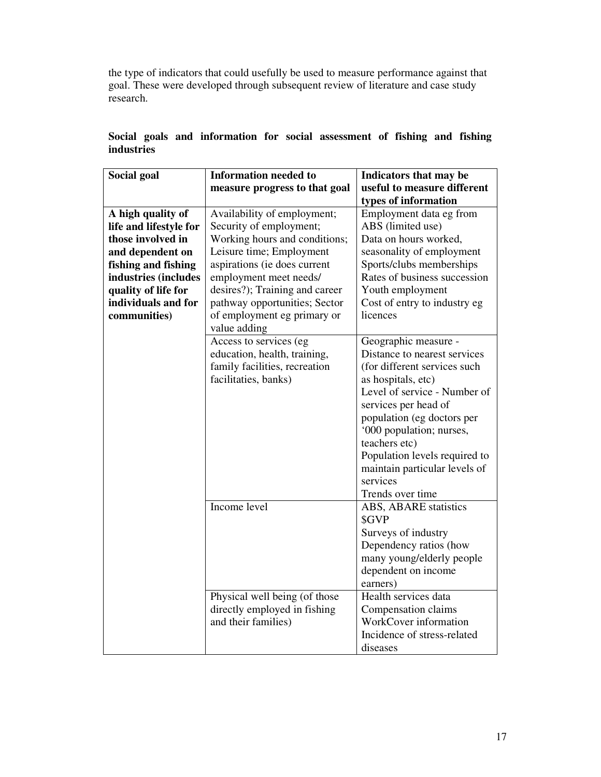the type of indicators that could usefully be used to measure performance against that goal. These were developed through subsequent review of literature and case study research.

| <b>Social goal</b>     | <b>Information needed to</b>   | Indicators that may be        |
|------------------------|--------------------------------|-------------------------------|
|                        | measure progress to that goal  | useful to measure different   |
|                        |                                | types of information          |
| A high quality of      | Availability of employment;    | Employment data eg from       |
| life and lifestyle for | Security of employment;        | ABS (limited use)             |
| those involved in      | Working hours and conditions;  | Data on hours worked,         |
| and dependent on       | Leisure time; Employment       | seasonality of employment     |
| fishing and fishing    | aspirations (ie does current   | Sports/clubs memberships      |
| industries (includes   | employment meet needs/         | Rates of business succession  |
| quality of life for    | desires?); Training and career | Youth employment              |
| individuals and for    | pathway opportunities; Sector  | Cost of entry to industry eg  |
| communities)           | of employment eg primary or    | licences                      |
|                        | value adding                   |                               |
|                        | Access to services (eg         | Geographic measure -          |
|                        | education, health, training,   | Distance to nearest services  |
|                        | family facilities, recreation  | (for different services such  |
|                        | facilitaties, banks)           | as hospitals, etc)            |
|                        |                                | Level of service - Number of  |
|                        |                                | services per head of          |
|                        |                                | population (eg doctors per    |
|                        |                                | '000 population; nurses,      |
|                        |                                | teachers etc)                 |
|                        |                                | Population levels required to |
|                        |                                | maintain particular levels of |
|                        |                                | services                      |
|                        |                                | Trends over time              |
|                        | Income level                   | <b>ABS, ABARE statistics</b>  |
|                        |                                | \$GVP                         |
|                        |                                | Surveys of industry           |
|                        |                                | Dependency ratios (how        |
|                        |                                | many young/elderly people     |
|                        |                                | dependent on income           |
|                        |                                | earners)                      |
|                        | Physical well being (of those  | Health services data          |
|                        | directly employed in fishing   | Compensation claims           |
|                        | and their families)            | WorkCover information         |
|                        |                                | Incidence of stress-related   |
|                        |                                | diseases                      |

### **Social goals and information for social assessment of fishing and fishing industries**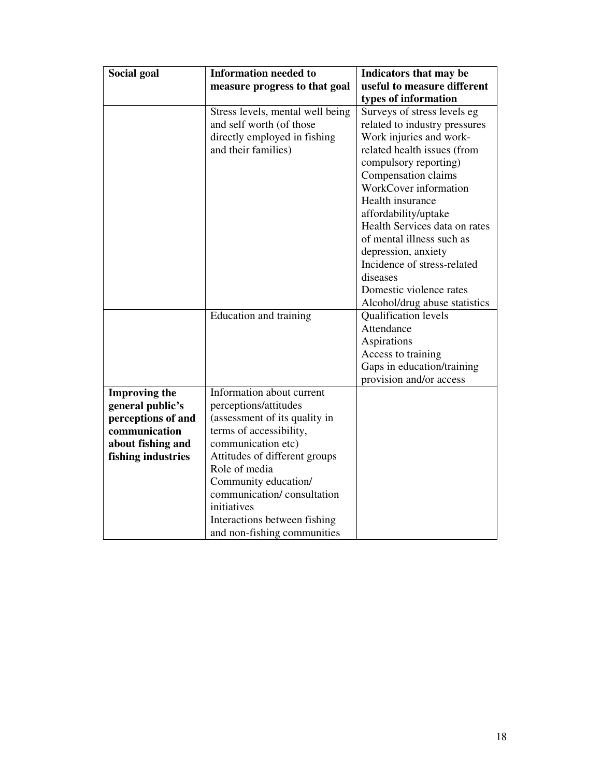| Social goal          | <b>Information needed to</b>                       | Indicators that may be        |
|----------------------|----------------------------------------------------|-------------------------------|
|                      | measure progress to that goal                      | useful to measure different   |
|                      |                                                    | types of information          |
|                      | Stress levels, mental well being                   | Surveys of stress levels eg   |
|                      | and self worth (of those                           | related to industry pressures |
|                      | directly employed in fishing                       | Work injuries and work-       |
|                      | and their families)                                | related health issues (from   |
|                      |                                                    | compulsory reporting)         |
|                      |                                                    | Compensation claims           |
|                      |                                                    | WorkCover information         |
|                      |                                                    | Health insurance              |
|                      |                                                    | affordability/uptake          |
|                      |                                                    | Health Services data on rates |
|                      |                                                    | of mental illness such as     |
|                      |                                                    | depression, anxiety           |
|                      |                                                    | Incidence of stress-related   |
|                      |                                                    | diseases                      |
|                      |                                                    | Domestic violence rates       |
|                      |                                                    | Alcohol/drug abuse statistics |
|                      | Education and training                             | Qualification levels          |
|                      |                                                    | Attendance                    |
|                      |                                                    | Aspirations                   |
|                      |                                                    | Access to training            |
|                      |                                                    | Gaps in education/training    |
|                      |                                                    | provision and/or access       |
| <b>Improving the</b> | Information about current                          |                               |
| general public's     | perceptions/attitudes                              |                               |
| perceptions of and   | (assessment of its quality in                      |                               |
| communication        | terms of accessibility,                            |                               |
| about fishing and    | communication etc)                                 |                               |
| fishing industries   | Attitudes of different groups                      |                               |
|                      | Role of media                                      |                               |
|                      | Community education/<br>communication/consultation |                               |
|                      |                                                    |                               |
|                      | initiatives                                        |                               |
|                      | Interactions between fishing                       |                               |
|                      | and non-fishing communities                        |                               |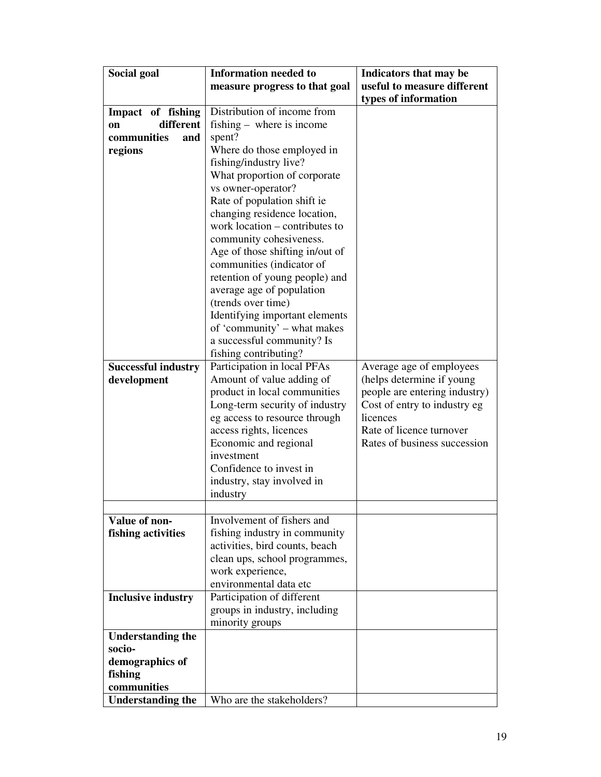| Social goal                | <b>Information needed to</b>    | Indicators that may be        |
|----------------------------|---------------------------------|-------------------------------|
|                            | measure progress to that goal   | useful to measure different   |
|                            |                                 | types of information          |
| Impact of fishing          | Distribution of income from     |                               |
| different<br>on            | fishing – where is income       |                               |
| communities<br>and         | spent?                          |                               |
| regions                    | Where do those employed in      |                               |
|                            | fishing/industry live?          |                               |
|                            | What proportion of corporate    |                               |
|                            | vs owner-operator?              |                               |
|                            | Rate of population shift ie     |                               |
|                            | changing residence location,    |                               |
|                            | work location – contributes to  |                               |
|                            | community cohesiveness.         |                               |
|                            | Age of those shifting in/out of |                               |
|                            | communities (indicator of       |                               |
|                            | retention of young people) and  |                               |
|                            | average age of population       |                               |
|                            | (trends over time)              |                               |
|                            | Identifying important elements  |                               |
|                            | of 'community' - what makes     |                               |
|                            | a successful community? Is      |                               |
|                            | fishing contributing?           |                               |
| <b>Successful industry</b> | Participation in local PFAs     | Average age of employees      |
| development                | Amount of value adding of       | (helps determine if young     |
|                            | product in local communities    | people are entering industry) |
|                            | Long-term security of industry  | Cost of entry to industry eg  |
|                            | eg access to resource through   | licences                      |
|                            | access rights, licences         | Rate of licence turnover      |
|                            | Economic and regional           | Rates of business succession  |
|                            | investment                      |                               |
|                            | Confidence to invest in         |                               |
|                            | industry, stay involved in      |                               |
|                            | industry                        |                               |
|                            |                                 |                               |
| Value of non-              | Involvement of fishers and      |                               |
| fishing activities         | fishing industry in community   |                               |
|                            | activities, bird counts, beach  |                               |
|                            | clean ups, school programmes,   |                               |
|                            | work experience,                |                               |
|                            | environmental data etc          |                               |
| <b>Inclusive industry</b>  | Participation of different      |                               |
|                            | groups in industry, including   |                               |
|                            | minority groups                 |                               |
| <b>Understanding the</b>   |                                 |                               |
| socio-                     |                                 |                               |
| demographics of            |                                 |                               |
| fishing                    |                                 |                               |
| communities                |                                 |                               |
| <b>Understanding the</b>   | Who are the stakeholders?       |                               |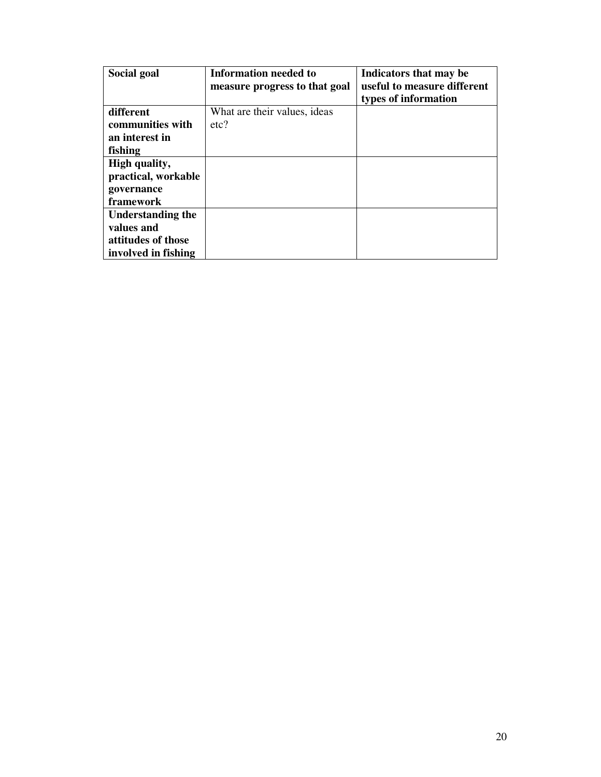| Social goal              | <b>Information needed to</b><br>measure progress to that goal | Indicators that may be<br>useful to measure different<br>types of information |
|--------------------------|---------------------------------------------------------------|-------------------------------------------------------------------------------|
| different                | What are their values, ideas                                  |                                                                               |
| communities with         | etc?                                                          |                                                                               |
| an interest in           |                                                               |                                                                               |
| fishing                  |                                                               |                                                                               |
| High quality,            |                                                               |                                                                               |
| practical, workable      |                                                               |                                                                               |
| governance               |                                                               |                                                                               |
| framework                |                                                               |                                                                               |
| <b>Understanding the</b> |                                                               |                                                                               |
| values and               |                                                               |                                                                               |
| attitudes of those       |                                                               |                                                                               |
| involved in fishing      |                                                               |                                                                               |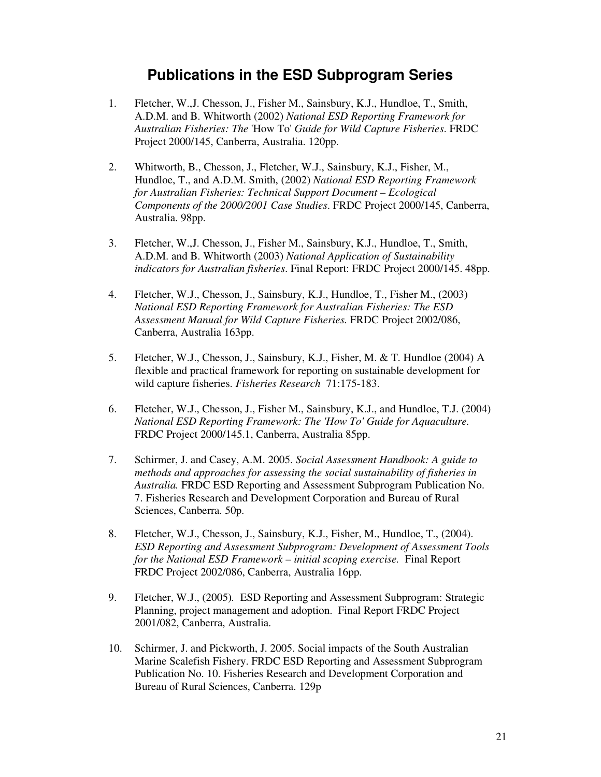## **Publications in the ESD Subprogram Series**

- 1. Fletcher, W.,J. Chesson, J., Fisher M., Sainsbury, K.J., Hundloe, T., Smith, A.D.M. and B. Whitworth (2002) *National ESD Reporting Framework for Australian Fisheries: The* 'How To' *Guide for Wild Capture Fisheries*. FRDC Project 2000/145, Canberra, Australia. 120pp.
- 2. Whitworth, B., Chesson, J., Fletcher, W.J., Sainsbury, K.J., Fisher, M., Hundloe, T., and A.D.M. Smith, (2002) *National ESD Reporting Framework for Australian Fisheries: Technical Support Document – Ecological Components of the 2000/2001 Case Studies*. FRDC Project 2000/145, Canberra, Australia. 98pp.
- 3. Fletcher, W.,J. Chesson, J., Fisher M., Sainsbury, K.J., Hundloe, T., Smith, A.D.M. and B. Whitworth (2003) *National Application of Sustainability indicators for Australian fisheries*. Final Report: FRDC Project 2000/145. 48pp.
- 4. Fletcher, W.J., Chesson, J., Sainsbury, K.J., Hundloe, T., Fisher M., (2003) *National ESD Reporting Framework for Australian Fisheries: The ESD Assessment Manual for Wild Capture Fisheries.* FRDC Project 2002/086, Canberra, Australia 163pp.
- 5. Fletcher, W.J., Chesson, J., Sainsbury, K.J., Fisher, M. & T. Hundloe (2004) A flexible and practical framework for reporting on sustainable development for wild capture fisheries. *Fisheries Research* 71:175-183.
- 6. Fletcher, W.J., Chesson, J., Fisher M., Sainsbury, K.J., and Hundloe, T.J. (2004) *National ESD Reporting Framework: The 'How To' Guide for Aquaculture.* FRDC Project 2000/145.1, Canberra, Australia 85pp.
- 7. Schirmer, J. and Casey, A.M. 2005. *Social Assessment Handbook: A guide to methods and approaches for assessing the social sustainability of fisheries in Australia.* FRDC ESD Reporting and Assessment Subprogram Publication No. 7. Fisheries Research and Development Corporation and Bureau of Rural Sciences, Canberra. 50p.
- 8. Fletcher, W.J., Chesson, J., Sainsbury, K.J., Fisher, M., Hundloe, T., (2004). *ESD Reporting and Assessment Subprogram: Development of Assessment Tools for the National ESD Framework – initial scoping exercise.* Final Report FRDC Project 2002/086, Canberra, Australia 16pp.
- 9. Fletcher, W.J., (2005)*.* ESD Reporting and Assessment Subprogram: Strategic Planning, project management and adoption. Final Report FRDC Project 2001/082, Canberra, Australia.
- 10. Schirmer, J. and Pickworth, J. 2005. Social impacts of the South Australian Marine Scalefish Fishery. FRDC ESD Reporting and Assessment Subprogram Publication No. 10. Fisheries Research and Development Corporation and Bureau of Rural Sciences, Canberra. 129p